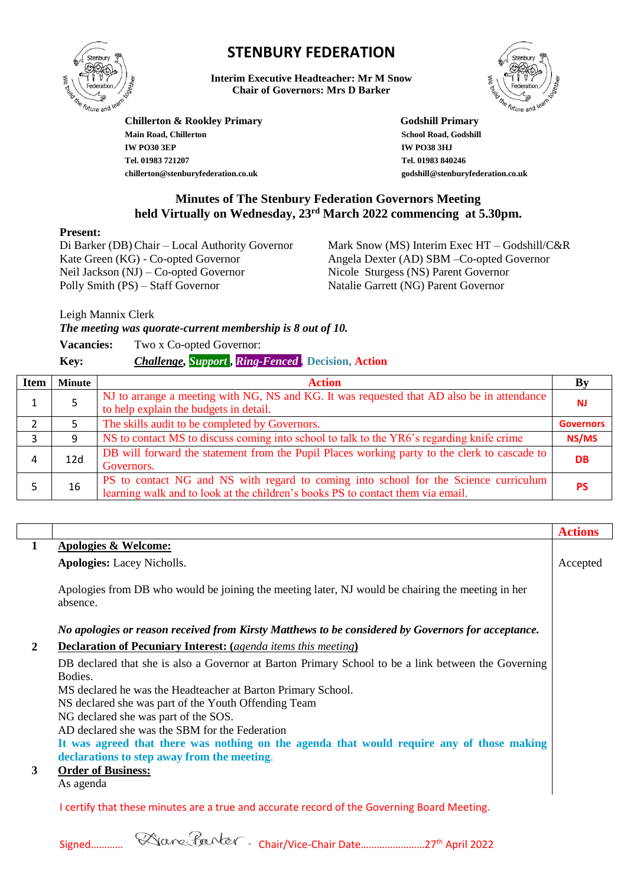

# **STENBURY FEDERATION**

**Interim Executive Headteacher: Mr M Snow Chair of Governors: Mrs D Barker**



**Chillerton & Rookley Primary Godshill Primary Main Road, Chillerton School Road, Godshill IW PO30 3EP IW PO38 3HJ Tel. 01983 721207 chillerton@stenburyfederation.co.uk**

 **Tel. 01983 840246 godshill@stenburyfederation.co.uk**

## **Minutes of The Stenbury Federation Governors Meeting held Virtually on Wednesday, 23rd March 2022 commencing at 5.30pm.**

#### **Present:**

Di Barker (DB) Chair – Local Authority Governor Kate Green (KG) - Co-opted Governor Neil Jackson (NJ) – Co-opted Governor Polly Smith (PS) – Staff Governor

Mark Snow (MS) Interim Exec HT – Godshill/C&R Angela Dexter (AD) SBM –Co-opted Governor Nicole Sturgess (NS) Parent Governor Natalie Garrett (NG) Parent Governor

Leigh Mannix Clerk

*The meeting was quorate-current membership is 8 out of 10.* 

| <b>Vacancies:</b> | Two x Co-opted Governor:                                 |  |
|-------------------|----------------------------------------------------------|--|
| Key:              | <b>Challenge, Support, Ring-Fenced, Decision, Action</b> |  |

| <b>Item</b> | <b>Minute</b> | <b>Action</b>                                                                                                                                                           |                  |
|-------------|---------------|-------------------------------------------------------------------------------------------------------------------------------------------------------------------------|------------------|
|             |               | NJ to arrange a meeting with NG, NS and KG. It was requested that AD also be in attendance<br>to help explain the budgets in detail.                                    | N.               |
|             |               | The skills audit to be completed by Governors.                                                                                                                          | <b>Governors</b> |
|             |               | NS to contact MS to discuss coming into school to talk to the YR6's regarding knife crime                                                                               | NS/MS            |
| 4           | 12d           | DB will forward the statement from the Pupil Places working party to the clerk to cascade to<br>Governors.                                                              | <b>DB</b>        |
|             | 16            | PS to contact NG and NS with regard to coming into school for the Science curriculum<br>learning walk and to look at the children's books PS to contact them via email. | <b>PS</b>        |

|              |                                                                                                               | <b>Actions</b> |
|--------------|---------------------------------------------------------------------------------------------------------------|----------------|
| $\mathbf{1}$ | Apologies & Welcome:                                                                                          |                |
|              | <b>Apologies:</b> Lacey Nicholls.                                                                             | Accepted       |
|              | Apologies from DB who would be joining the meeting later, NJ would be chairing the meeting in her<br>absence. |                |
|              | No apologies or reason received from Kirsty Matthews to be considered by Governors for acceptance.            |                |
| 2            | <b>Declaration of Pecuniary Interest:</b> (agenda items this meeting)                                         |                |
|              | DB declared that she is also a Governor at Barton Primary School to be a link between the Governing           |                |
|              | Bodies.                                                                                                       |                |
|              | MS declared he was the Headteacher at Barton Primary School.                                                  |                |
|              | NS declared she was part of the Youth Offending Team                                                          |                |
|              | NG declared she was part of the SOS.                                                                          |                |
|              | AD declared she was the SBM for the Federation                                                                |                |
|              | It was agreed that there was nothing on the agenda that would require any of those making                     |                |
|              | declarations to step away from the meeting.                                                                   |                |
| 3            | <b>Order of Business:</b>                                                                                     |                |
|              | As agenda                                                                                                     |                |
|              | I certify that these minutes are a true and accurate record of the Governing Board Meeting.                   |                |

Signed………… 
Sales Jarry Chair/Vice-Chair Date………………………27<sup>th</sup> April 2022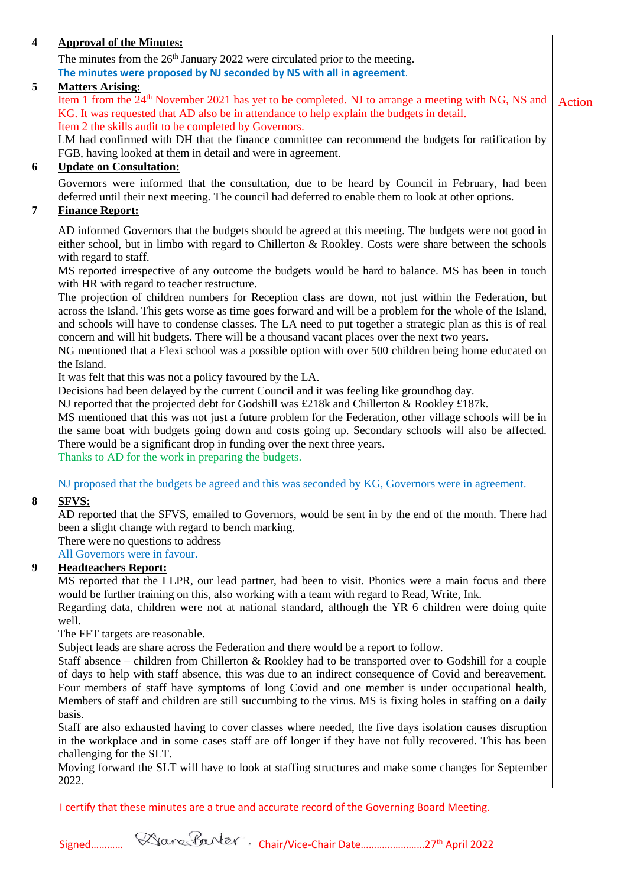## **4 Approval of the Minutes:**

The minutes from the 26<sup>th</sup> January 2022 were circulated prior to the meeting. **The minutes were proposed by NJ seconded by NS with all in agreement**.

## **5 Matters Arising:**

Item 1 from the  $24<sup>th</sup>$  November 2021 has yet to be completed. NJ to arrange a meeting with NG, NS and KG. It was requested that AD also be in attendance to help explain the budgets in detail. Item 2 the skills audit to be completed by Governors. Action

LM had confirmed with DH that the finance committee can recommend the budgets for ratification by FGB, having looked at them in detail and were in agreement.

## **6 Update on Consultation:**

Governors were informed that the consultation, due to be heard by Council in February, had been deferred until their next meeting. The council had deferred to enable them to look at other options.

#### **7 Finance Report:**

AD informed Governors that the budgets should be agreed at this meeting. The budgets were not good in either school, but in limbo with regard to Chillerton & Rookley. Costs were share between the schools with regard to staff.

MS reported irrespective of any outcome the budgets would be hard to balance. MS has been in touch with HR with regard to teacher restructure.

The projection of children numbers for Reception class are down, not just within the Federation, but across the Island. This gets worse as time goes forward and will be a problem for the whole of the Island, and schools will have to condense classes. The LA need to put together a strategic plan as this is of real concern and will hit budgets. There will be a thousand vacant places over the next two years.

NG mentioned that a Flexi school was a possible option with over 500 children being home educated on the Island.

It was felt that this was not a policy favoured by the LA.

Decisions had been delayed by the current Council and it was feeling like groundhog day.

NJ reported that the projected debt for Godshill was £218k and Chillerton & Rookley £187k.

MS mentioned that this was not just a future problem for the Federation, other village schools will be in the same boat with budgets going down and costs going up. Secondary schools will also be affected. There would be a significant drop in funding over the next three years.

Thanks to AD for the work in preparing the budgets.

NJ proposed that the budgets be agreed and this was seconded by KG, Governors were in agreement.

#### **8 SFVS:**

AD reported that the SFVS, emailed to Governors, would be sent in by the end of the month. There had been a slight change with regard to bench marking.

There were no questions to address

All Governors were in favour.

#### **9 Headteachers Report:**

MS reported that the LLPR, our lead partner, had been to visit. Phonics were a main focus and there would be further training on this, also working with a team with regard to Read, Write, Ink.

Regarding data, children were not at national standard, although the YR 6 children were doing quite well.

The FFT targets are reasonable.

Subject leads are share across the Federation and there would be a report to follow.

Staff absence – children from Chillerton & Rookley had to be transported over to Godshill for a couple of days to help with staff absence, this was due to an indirect consequence of Covid and bereavement. Four members of staff have symptoms of long Covid and one member is under occupational health, Members of staff and children are still succumbing to the virus. MS is fixing holes in staffing on a daily basis.

Staff are also exhausted having to cover classes where needed, the five days isolation causes disruption in the workplace and in some cases staff are off longer if they have not fully recovered. This has been challenging for the SLT.

Moving forward the SLT will have to look at staffing structures and make some changes for September 2022.

I certify that these minutes are a true and accurate record of the Governing Board Meeting.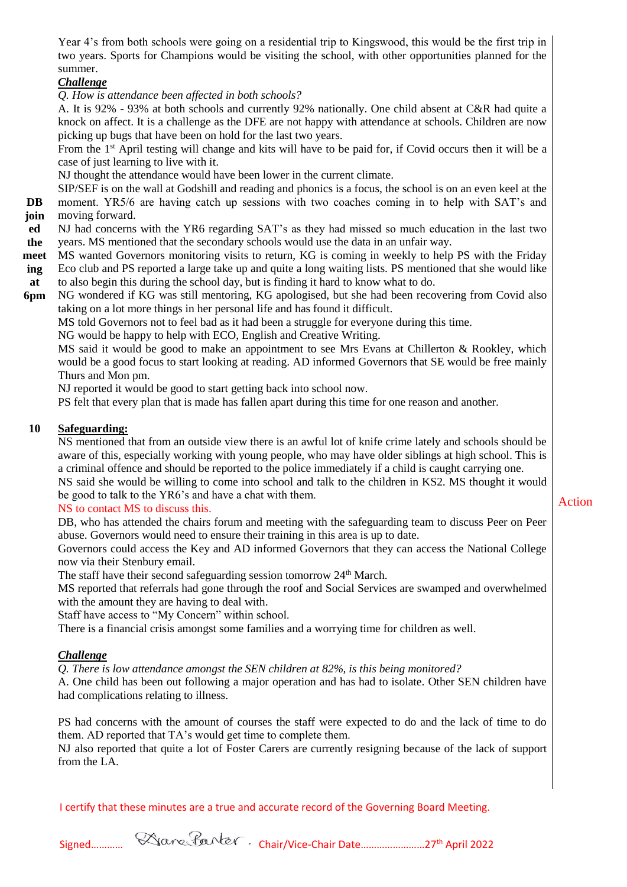Year 4's from both schools were going on a residential trip to Kingswood, this would be the first trip in two years. Sports for Champions would be visiting the school, with other opportunities planned for the summer.

## *Challenge*

*Q. How is attendance been affected in both schools?*

A. It is 92% - 93% at both schools and currently 92% nationally. One child absent at C&R had quite a knock on affect. It is a challenge as the DFE are not happy with attendance at schools. Children are now picking up bugs that have been on hold for the last two years.

From the 1<sup>st</sup> April testing will change and kits will have to be paid for, if Covid occurs then it will be a case of just learning to live with it.

NJ thought the attendance would have been lower in the current climate.

SIP/SEF is on the wall at Godshill and reading and phonics is a focus, the school is on an even keel at the

- **DB join** moment. YR5/6 are having catch up sessions with two coaches coming in to help with SAT's and moving forward.
- **ed the**  NJ had concerns with the YR6 regarding SAT's as they had missed so much education in the last two years. MS mentioned that the secondary schools would use the data in an unfair way.
- **meet** MS wanted Governors monitoring visits to return, KG is coming in weekly to help PS with the Friday
- **ing at**  Eco club and PS reported a large take up and quite a long waiting lists. PS mentioned that she would like to also begin this during the school day, but is finding it hard to know what to do.
- **6pm** NG wondered if KG was still mentoring, KG apologised, but she had been recovering from Covid also taking on a lot more things in her personal life and has found it difficult.

MS told Governors not to feel bad as it had been a struggle for everyone during this time.

NG would be happy to help with ECO, English and Creative Writing.

MS said it would be good to make an appointment to see Mrs Evans at Chillerton & Rookley, which would be a good focus to start looking at reading. AD informed Governors that SE would be free mainly Thurs and Mon pm.

NJ reported it would be good to start getting back into school now.

PS felt that every plan that is made has fallen apart during this time for one reason and another.

## **10 Safeguarding:**

NS mentioned that from an outside view there is an awful lot of knife crime lately and schools should be aware of this, especially working with young people, who may have older siblings at high school. This is a criminal offence and should be reported to the police immediately if a child is caught carrying one. NS said she would be willing to come into school and talk to the children in KS2. MS thought it would be good to talk to the YR6's and have a chat with them.

## NS to contact MS to discuss this.

DB, who has attended the chairs forum and meeting with the safeguarding team to discuss Peer on Peer abuse. Governors would need to ensure their training in this area is up to date.

Governors could access the Key and AD informed Governors that they can access the National College now via their Stenbury email.

The staff have their second safeguarding session tomorrow 24<sup>th</sup> March.

MS reported that referrals had gone through the roof and Social Services are swamped and overwhelmed with the amount they are having to deal with.

Staff have access to "My Concern" within school.

There is a financial crisis amongst some families and a worrying time for children as well.

## *Challenge*

*Q. There is low attendance amongst the SEN children at 82%, is this being monitored?*

A. One child has been out following a major operation and has had to isolate. Other SEN children have had complications relating to illness.

PS had concerns with the amount of courses the staff were expected to do and the lack of time to do them. AD reported that TA's would get time to complete them.

NJ also reported that quite a lot of Foster Carers are currently resigning because of the lack of support from the LA.

I certify that these minutes are a true and accurate record of the Governing Board Meeting.



Action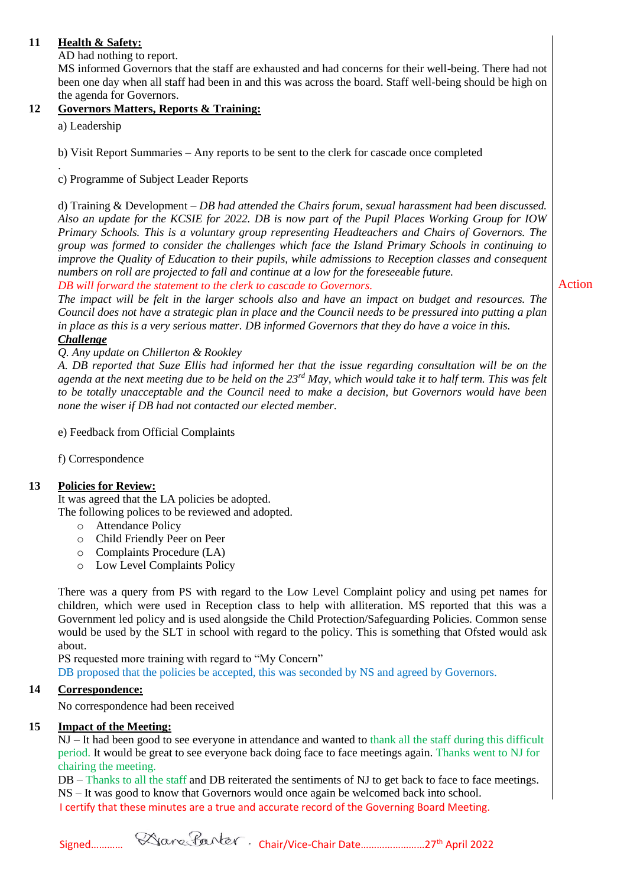## **11 Health & Safety:**

AD had nothing to report.

MS informed Governors that the staff are exhausted and had concerns for their well-being. There had not been one day when all staff had been in and this was across the board. Staff well-being should be high on the agenda for Governors.

## **12 Governors Matters, Reports & Training:**

a) Leadership

b) Visit Report Summaries – Any reports to be sent to the clerk for cascade once completed

. c) Programme of Subject Leader Reports

d) Training & Development – *DB had attended the Chairs forum, sexual harassment had been discussed. Also an update for the KCSIE for 2022. DB is now part of the Pupil Places Working Group for IOW Primary Schools. This is a voluntary group representing Headteachers and Chairs of Governors. The group was formed to consider the challenges which face the Island Primary Schools in continuing to improve the Quality of Education to their pupils, while admissions to Reception classes and consequent numbers on roll are projected to fall and continue at a low for the foreseeable future. DB will forward the statement to the clerk to cascade to Governors.* 

*The impact will be felt in the larger schools also and have an impact on budget and resources. The Council does not have a strategic plan in place and the Council needs to be pressured into putting a plan in place as this is a very serious matter. DB informed Governors that they do have a voice in this.* 

## *Challenge*

*Q. Any update on Chillerton & Rookley*

*A. DB reported that Suze Ellis had informed her that the issue regarding consultation will be on the agenda at the next meeting due to be held on the 23rd May, which would take it to half term. This was felt to be totally unacceptable and the Council need to make a decision, but Governors would have been none the wiser if DB had not contacted our elected member.*

e) Feedback from Official Complaints

f) Correspondence

## **13 Policies for Review:**

It was agreed that the LA policies be adopted.

The following polices to be reviewed and adopted.

- o Attendance Policy
- o Child Friendly Peer on Peer
- o Complaints Procedure (LA)
- o Low Level Complaints Policy

There was a query from PS with regard to the Low Level Complaint policy and using pet names for children, which were used in Reception class to help with alliteration. MS reported that this was a Government led policy and is used alongside the Child Protection/Safeguarding Policies. Common sense would be used by the SLT in school with regard to the policy. This is something that Ofsted would ask about.

PS requested more training with regard to "My Concern"

DB proposed that the policies be accepted, this was seconded by NS and agreed by Governors.

## **14 Correspondence:**

No correspondence had been received

## **15 Impact of the Meeting:**

NJ – It had been good to see everyone in attendance and wanted to thank all the staff during this difficult period. It would be great to see everyone back doing face to face meetings again. Thanks went to NJ for chairing the meeting.

I certify that these minutes are a true and accurate record of the Governing Board Meeting. DB – Thanks to all the staff and DB reiterated the sentiments of NJ to get back to face to face meetings. NS – It was good to know that Governors would once again be welcomed back into school.

Action